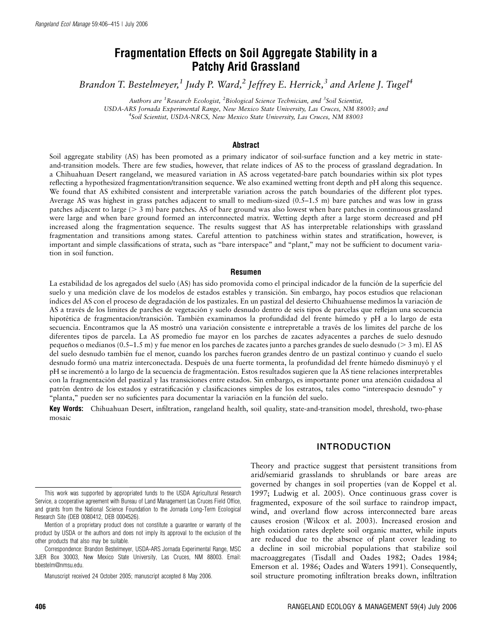# Fragmentation Effects on Soil Aggregate Stability in a Patchy Arid Grassland

Brandon T. Bestelmeyer,<sup>1</sup> Judy P. Ward,<sup>2</sup> Jeffrey E. Herrick,<sup>3</sup> and Arlene J. Tugel<sup>4</sup>

Authors are <sup>1</sup>Research Ecologist, <sup>2</sup>Biological Science Technician, and <sup>3</sup>Soil Scientist, USDA-ARS Jornada Experimental Range, New Mexico State University, Las Cruces, NM 88003; and 4 Soil Scientist, USDA-NRCS, New Mexico State University, Las Cruces, NM 88003

### **Ahstract**

Soil aggregate stability (AS) has been promoted as a primary indicator of soil-surface function and a key metric in stateand-transition models. There are few studies, however, that relate indices of AS to the process of grassland degradation. In a Chihuahuan Desert rangeland, we measured variation in AS across vegetated-bare patch boundaries within six plot types reflecting a hypothesized fragmentation/transition sequence. We also examined wetting front depth and pH along this sequence. We found that AS exhibited consistent and interpretable variation across the patch boundaries of the different plot types. Average AS was highest in grass patches adjacent to small to medium-sized (0.5–1.5 m) bare patches and was low in grass patches adjacent to large ( $>$  3 m) bare patches. AS of bare ground was also lowest when bare patches in continuous grassland were large and when bare ground formed an interconnected matrix. Wetting depth after a large storm decreased and pH increased along the fragmentation sequence. The results suggest that AS has interpretable relationships with grassland fragmentation and transitions among states. Careful attention to patchiness within states and stratification, however, is important and simple classifications of strata, such as ''bare interspace'' and ''plant,'' may not be sufficient to document variation in soil function.

#### Resumen

La estabilidad de los agregados del suelo (AS) has sido promovida como el principal indicador de la función de la superficie del suelo y una medición clave de los modelos de estados estables y transición. Sin embargo, hay pocos estudios que relacionan índices del AS con el proceso de degradación de los pastizales. En un pastizal del desierto Chihuahuense medimos la variación de AS a través de los limites de parches de vegetación y suelo desnudo dentro de seis tipos de parcelas que reflejan una secuencia hipotética de fragmentacion/transición. También examinamos la profundidad del frente húmedo y pH a lo largo de esta secuencia. Encontramos que la AS mostró una variación consistente e intrepretable a través de los limites del parche de los diferentes tipos de parcela. La AS promedio fue mayor en los parches de zacates adyacentes a parches de suelo desnudo pequeños o medianos (0.5–1.5 m) y fue menor en los parches de zacates junto a parches grandes de suelo desnudo ( $>$ 3 m). El AS del suelo desnudo también fue el menor, cuando los parches fueron grandes dentro de un pastizal continuo y cuando el suelo desnudo formó una matriz interconectada. Después de una fuerte tormenta, la profundidad del frente húmedo disminuyó y el pH se incremento´ a lo largo de la secuencia de fragmentacio´n. Estos resultados sugieren que la AS tiene relaciones interpretables con la fragmentación del pastizal y las transiciones entre estados. Sin embargo, es importante poner una atención cuidadosa al patrón dentro de los estados y estratificación y clasificaciones simples de los estratos, tales como "interespacio desnudo" y "planta," pueden ser no suficientes para documentar la variación en la función del suelo.

Key Words: Chihuahuan Desert, infiltration, rangeland health, soil quality, state-and-transition model, threshold, two-phase mosaic

### INTRODUCTION

Mention of a proprietary product does not constitute a guarantee or warranty of the product by USDA or the authors and does not imply its approval to the exclusion of the other products that also may be suitable.

Correspondence: Brandon Bestelmeyer, USDA-ARS Jornada Experimental Range, MSC 3JER Box 30003, New Mexico State University, Las Cruces, NM 88003. Email: bbestelm@nmsu.edu.

Manuscript received 24 October 2005; manuscript accepted 8 May 2006.

Theory and practice suggest that persistent transitions from arid/semiarid grasslands to shrublands or bare areas are governed by changes in soil properties (van de Koppel et al. 1997; Ludwig et al. 2005). Once continuous grass cover is fragmented, exposure of the soil surface to raindrop impact, wind, and overland flow across interconnected bare areas causes erosion (Wilcox et al. 2003). Increased erosion and high oxidation rates deplete soil organic matter, while inputs are reduced due to the absence of plant cover leading to a decline in soil microbial populations that stabilize soil macroaggregates (Tisdall and Oades 1982; Oades 1984; Emerson et al. 1986; Oades and Waters 1991). Consequently, soil structure promoting infiltration breaks down, infiltration

This work was supported by appropriated funds to the USDA Agricultural Research Service, a cooperative agreement with Bureau of Land Management Las Cruces Field Office, and grants from the National Science Foundation to the Jornada Long-Term Ecological Research Site (DEB 0080412, DEB 0004526).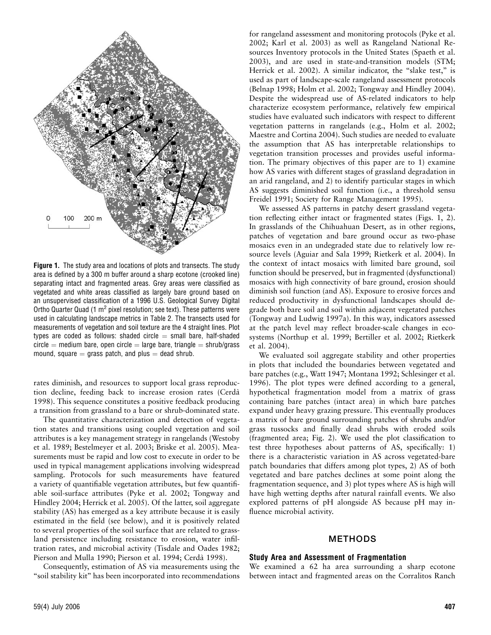

Figure 1. The study area and locations of plots and transects. The study area is defined by a 300 m buffer around a sharp ecotone (crooked line) separating intact and fragmented areas. Grey areas were classified as vegetated and white areas classified as largely bare ground based on an unsupervised classification of a 1996 U.S. Geological Survey Digital Ortho Quarter Quad (1  $m^2$  pixel resolution; see text). These patterns were used in calculating landscape metrics in Table 2. The transects used for measurements of vegetation and soil texture are the 4 straight lines. Plot types are coded as follows: shaded circle  $=$  small bare, half-shaded circle  $=$  medium bare, open circle  $=$  large bare, triangle  $=$  shrub/grass mound, square  $=$  grass patch, and plus  $=$  dead shrub.

rates diminish, and resources to support local grass reproduction decline, feeding back to increase erosion rates (Cerda` 1998). This sequence constitutes a positive feedback producing a transition from grassland to a bare or shrub-dominated state.

The quantitative characterization and detection of vegetation states and transitions using coupled vegetation and soil attributes is a key management strategy in rangelands (Westoby et al. 1989; Bestelmeyer et al. 2003; Briske et al. 2005). Measurements must be rapid and low cost to execute in order to be used in typical management applications involving widespread sampling. Protocols for such measurements have featured a variety of quantifiable vegetation attributes, but few quantifiable soil-surface attributes (Pyke et al. 2002; Tongway and Hindley 2004; Herrick et al. 2005). Of the latter, soil aggregate stability (AS) has emerged as a key attribute because it is easily estimated in the field (see below), and it is positively related to several properties of the soil surface that are related to grassland persistence including resistance to erosion, water infiltration rates, and microbial activity (Tisdale and Oades 1982; Pierson and Mulla 1990; Pierson et al. 1994; Cerda` 1998).

Consequently, estimation of AS via measurements using the ''soil stability kit'' has been incorporated into recommendations

for rangeland assessment and monitoring protocols (Pyke et al. 2002; Karl et al. 2003) as well as Rangeland National Resources Inventory protocols in the United States (Spaeth et al. 2003), and are used in state-and-transition models (STM; Herrick et al. 2002). A similar indicator, the "slake test," is used as part of landscape-scale rangeland assessment protocols (Belnap 1998; Holm et al. 2002; Tongway and Hindley 2004). Despite the widespread use of AS-related indicators to help characterize ecosystem performance, relatively few empirical studies have evaluated such indicators with respect to different vegetation patterns in rangelands (e.g., Holm et al. 2002; Maestre and Cortina 2004). Such studies are needed to evaluate the assumption that AS has interpretable relationships to vegetation transition processes and provides useful information. The primary objectives of this paper are to 1) examine how AS varies with different stages of grassland degradation in an arid rangeland, and 2) to identify particular stages in which AS suggests diminished soil function (i.e., a threshold sensu Freidel 1991; Society for Range Management 1995).

We assessed AS patterns in patchy desert grassland vegetation reflecting either intact or fragmented states (Figs. 1, 2). In grasslands of the Chihuahuan Desert, as in other regions, patches of vegetation and bare ground occur as two-phase mosaics even in an undegraded state due to relatively low resource levels (Aguiar and Sala 1999; Rietkerk et al. 2004). In the context of intact mosaics with limited bare ground, soil function should be preserved, but in fragmented (dysfunctional) mosaics with high connectivity of bare ground, erosion should diminish soil function (and AS). Exposure to erosive forces and reduced productivity in dysfunctional landscapes should degrade both bare soil and soil within adjacent vegetated patches (Tongway and Ludwig 1997a). In this way, indicators assessed at the patch level may reflect broader-scale changes in ecosystems (Northup et al. 1999; Bertiller et al. 2002; Rietkerk et al. 2004).

We evaluated soil aggregate stability and other properties in plots that included the boundaries between vegetated and bare patches (e.g., Watt 1947; Montana 1992; Schlesinger et al. 1996). The plot types were defined according to a general, hypothetical fragmentation model from a matrix of grass containing bare patches (intact area) in which bare patches expand under heavy grazing pressure. This eventually produces a matrix of bare ground surrounding patches of shrubs and/or grass tussocks and finally dead shrubs with eroded soils (fragmented area; Fig. 2). We used the plot classification to test three hypotheses about patterns of AS, specifically: 1) there is a characteristic variation in AS across vegetated-bare patch boundaries that differs among plot types, 2) AS of both vegetated and bare patches declines at some point along the fragmentation sequence, and 3) plot types where AS is high will have high wetting depths after natural rainfall events. We also explored patterns of pH alongside AS because pH may influence microbial activity.

### METHODS

#### Study Area and Assessment of Fragmentation

We examined a 62 ha area surrounding a sharp ecotone between intact and fragmented areas on the Corralitos Ranch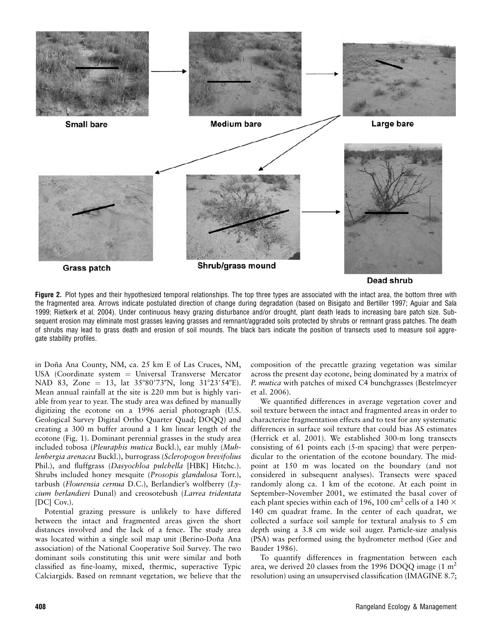

Figure 2. Plot types and their hypothesized temporal relationships. The top three types are associated with the intact area, the bottom three with the fragmented area. Arrows indicate postulated direction of change during degradation (based on Bisigato and Bertiller 1997; Aguiar and Sala 1999; Rietkerk et al. 2004). Under continuous heavy grazing disturbance and/or drought, plant death leads to increasing bare patch size. Subsequent erosion may eliminate most grasses leaving grasses and remnant/aggraded soils protected by shrubs or remnant grass patches. The death of shrubs may lead to grass death and erosion of soil mounds. The black bars indicate the position of transects used to measure soil aggregate stability profiles.

in Doña Ana County, NM, ca. 25 km E of Las Cruces, NM, USA (Coordinate system  $=$  Universal Transverse Mercator NAD 83, Zone = 13, lat  $35^{\circ}80'73''N$ , long  $31^{\circ}23'54''E$ ). Mean annual rainfall at the site is 220 mm but is highly variable from year to year. The study area was defined by manually digitizing the ecotone on a 1996 aerial photograph (U.S. Geological Survey Digital Ortho Quarter Quad; DOQQ) and creating a 300 m buffer around a 1 km linear length of the ecotone (Fig. 1). Dominant perennial grasses in the study area included tobosa (Pleuraphis mutica Buckl.), ear muhly (Muhlenbergia arenacea Buckl.), burrograss (Scleropogon brevifolius Phil.), and fluffgrass (Dasyochloa pulchella [HBK] Hitchc.). Shrubs included honey mesquite (Prosopis glandulosa Torr.), tarbush (Flourensia cernua D.C.), Berlandier's wolfberry (Lycium berlandieri Dunal) and creosotebush (Larrea tridentata [DC] Cov.).

Potential grazing pressure is unlikely to have differed between the intact and fragmented areas given the short distances involved and the lack of a fence. The study area was located within a single soil map unit (Berino-Doña Ana association) of the National Cooperative Soil Survey. The two dominant soils constituting this unit were similar and both classified as fine-loamy, mixed, thermic, superactive Typic Calciargids. Based on remnant vegetation, we believe that the composition of the precattle grazing vegetation was similar across the present day ecotone, being dominated by a matrix of P. mutica with patches of mixed C4 bunchgrasses (Bestelmeyer et al. 2006).

We quantified differences in average vegetation cover and soil texture between the intact and fragmented areas in order to characterize fragmentation effects and to test for any systematic differences in surface soil texture that could bias AS estimates (Herrick et al. 2001). We established 300-m long transects consisting of 61 points each (5-m spacing) that were perpendicular to the orientation of the ecotone boundary. The midpoint at 150 m was located on the boundary (and not considered in subsequent analyses). Transects were spaced randomly along ca. 1 km of the ecotone. At each point in September–November 2001, we estimated the basal cover of each plant species within each of 196, 100 cm<sup>2</sup> cells of a 140  $\times$ 140 cm quadrat frame. In the center of each quadrat, we collected a surface soil sample for textural analysis to 5 cm depth using a 3.8 cm wide soil auger. Particle-size analysis (PSA) was performed using the hydrometer method (Gee and Bauder 1986).

To quantify differences in fragmentation between each area, we derived 20 classes from the 1996 DOQQ image  $(1 \text{ m}^2)$ resolution) using an unsupervised classification (IMAGINE 8.7;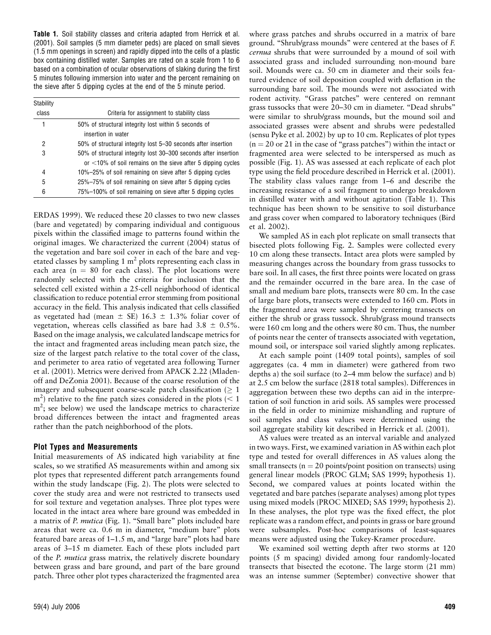Table 1. Soil stability classes and criteria adapted from Herrick et al. (2001). Soil samples (5 mm diameter peds) are placed on small sieves (1.5 mm openings in screen) and rapidly dipped into the cells of a plastic box containing distilled water. Samples are rated on a scale from 1 to 6 based on a combination of ocular observations of slaking during the first 5 minutes following immersion into water and the percent remaining on the sieve after 5 dipping cycles at the end of the 5 minute period.

| Stability |                                                                                                                                         |  |  |  |
|-----------|-----------------------------------------------------------------------------------------------------------------------------------------|--|--|--|
| class     | Criteria for assignment to stability class                                                                                              |  |  |  |
|           | 50% of structural integrity lost within 5 seconds of<br>insertion in water                                                              |  |  |  |
| 2         | 50% of structural integrity lost 5-30 seconds after insertion                                                                           |  |  |  |
| 3         | 50% of structural integrity lost 30–300 seconds after insertion<br>or $\langle$ 10% of soil remains on the sieve after 5 dipping cycles |  |  |  |
| 4         | 10%-25% of soil remaining on sieve after 5 dipping cycles                                                                               |  |  |  |
| 5         | 25%-75% of soil remaining on sieve after 5 dipping cycles                                                                               |  |  |  |
| 6         | 75%-100% of soil remaining on sieve after 5 dipping cycles                                                                              |  |  |  |

ERDAS 1999). We reduced these 20 classes to two new classes (bare and vegetated) by comparing individual and contiguous pixels within the classified image to patterns found within the original images. We characterized the current (2004) status of the vegetation and bare soil cover in each of the bare and vegetated classes by sampling  $1 \text{ m}^2$  plots representing each class in each area ( $n = 80$  for each class). The plot locations were randomly selected with the criteria for inclusion that the selected cell existed within a 25-cell neighborhood of identical classification to reduce potential error stemming from positional accuracy in the field. This analysis indicated that cells classified as vegetated had (mean  $\pm$  SE) 16.3  $\pm$  1.3% foliar cover of vegetation, whereas cells classified as bare had  $3.8 \pm 0.5\%$ . Based on the image analysis, we calculated landscape metrics for the intact and fragmented areas including mean patch size, the size of the largest patch relative to the total cover of the class, and perimeter to area ratio of vegetated area following Turner et al. (2001). Metrics were derived from APACK 2.22 (Mladenoff and DeZonia 2001). Because of the coarse resolution of the imagery and subsequent coarse-scale patch classification  $( \geq 1$  $(m<sup>2</sup>)$  relative to the fine patch sizes considered in the plots (< 1 m<sup>2</sup>; see below) we used the landscape metrics to characterize broad differences between the intact and fragmented areas rather than the patch neighborhood of the plots.

### Plot Types and Measurements

Initial measurements of AS indicated high variability at fine scales, so we stratified AS measurements within and among six plot types that represented different patch arrangements found within the study landscape (Fig. 2). The plots were selected to cover the study area and were not restricted to transects used for soil texture and vegetation analyses. Three plot types were located in the intact area where bare ground was embedded in a matrix of P. mutica (Fig. 1). ''Small bare'' plots included bare areas that were ca. 0.6 m in diameter, ''medium bare'' plots featured bare areas of 1–1.5 m, and ''large bare'' plots had bare areas of 3–15 m diameter. Each of these plots included part of the P. mutica grass matrix, the relatively discrete boundary between grass and bare ground, and part of the bare ground patch. Three other plot types characterized the fragmented area

where grass patches and shrubs occurred in a matrix of bare ground. "Shrub/grass mounds" were centered at the bases of F. cernua shrubs that were surrounded by a mound of soil with associated grass and included surrounding non-mound bare soil. Mounds were ca. 50 cm in diameter and their soils featured evidence of soil deposition coupled with deflation in the surrounding bare soil. The mounds were not associated with rodent activity. ''Grass patches'' were centered on remnant grass tussocks that were 20–30 cm in diameter. ''Dead shrubs'' were similar to shrub/grass mounds, but the mound soil and associated grasses were absent and shrubs were pedestalled (sensu Pyke et al. 2002) by up to 10 cm. Replicates of plot types  $(n = 20 \text{ or } 21 \text{ in the case of "grass patches") within the intact or}$ fragmented area were selected to be interspersed as much as possible (Fig. 1). AS was assessed at each replicate of each plot type using the field procedure described in Herrick et al. (2001). The stability class values range from 1–6 and describe the increasing resistance of a soil fragment to undergo breakdown in distilled water with and without agitation (Table 1). This technique has been shown to be sensitive to soil disturbance and grass cover when compared to laboratory techniques (Bird et al. 2002).

We sampled AS in each plot replicate on small transects that bisected plots following Fig. 2. Samples were collected every 10 cm along these transects. Intact area plots were sampled by measuring changes across the boundary from grass tussocks to bare soil. In all cases, the first three points were located on grass and the remainder occurred in the bare area. In the case of small and medium bare plots, transects were 80 cm. In the case of large bare plots, transects were extended to 160 cm. Plots in the fragmented area were sampled by centering transects on either the shrub or grass tussock. Shrub/grass mound transects were 160 cm long and the others were 80 cm. Thus, the number of points near the center of transects associated with vegetation, mound soil, or interspace soil varied slightly among replicates.

At each sample point (1409 total points), samples of soil aggregates (ca. 4 mm in diameter) were gathered from two depths a) the soil surface (to 2–4 mm below the surface) and b) at 2.5 cm below the surface (2818 total samples). Differences in aggregation between these two depths can aid in the interpretation of soil function in arid soils. AS samples were processed in the field in order to minimize mishandling and rupture of soil samples and class values were determined using the soil aggregate stability kit described in Herrick et al. (2001).

AS values were treated as an interval variable and analyzed in two ways. First, we examined variation in AS within each plot type and tested for overall differences in AS values along the small transects ( $n = 20$  points/point position on transects) using general linear models (PROC GLM; SAS 1999; hypothesis 1). Second, we compared values at points located within the vegetated and bare patches (separate analyses) among plot types using mixed models (PROC MIXED; SAS 1999; hypothesis 2). In these analyses, the plot type was the fixed effect, the plot replicate was a random effect, and points in grass or bare ground were subsamples. Post-hoc comparisons of least-squares means were adjusted using the Tukey-Kramer procedure.

We examined soil wetting depth after two storms at 120 points (5 m spacing) divided among four randomly-located transects that bisected the ecotone. The large storm (21 mm) was an intense summer (September) convective shower that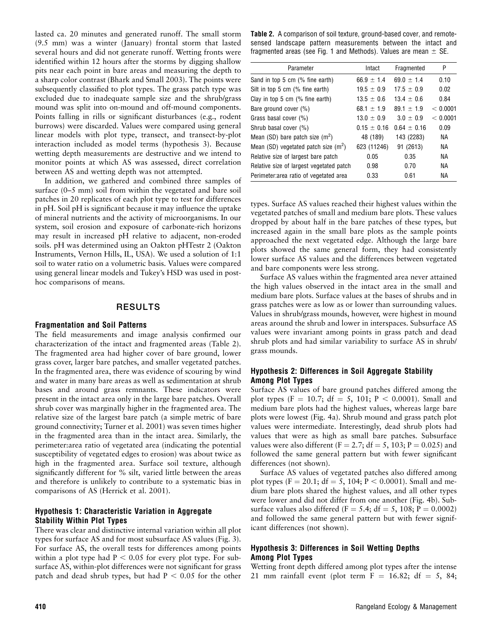lasted ca. 20 minutes and generated runoff. The small storm (9.5 mm) was a winter (January) frontal storm that lasted several hours and did not generate runoff. Wetting fronts were identified within 12 hours after the storms by digging shallow pits near each point in bare areas and measuring the depth to a sharp color contrast (Bhark and Small 2003). The points were subsequently classified to plot types. The grass patch type was excluded due to inadequate sample size and the shrub/grass mound was split into on-mound and off-mound components. Points falling in rills or significant disturbances (e.g., rodent burrows) were discarded. Values were compared using general linear models with plot type, transect, and transect-by-plot interaction included as model terms (hypothesis 3). Because wetting depth measurements are destructive and we intend to monitor points at which AS was assessed, direct correlation between AS and wetting depth was not attempted.

In addition, we gathered and combined three samples of surface (0–5 mm) soil from within the vegetated and bare soil patches in 20 replicates of each plot type to test for differences in pH. Soil pH is significant because it may influence the uptake of mineral nutrients and the activity of microorganisms. In our system, soil erosion and exposure of carbonate-rich horizons may result in increased pH relative to adjacent, non-eroded soils. pH was determined using an Oakton pHTestr 2 (Oakton Instruments, Vernon Hills, IL, USA). We used a solution of 1:1 soil to water ratio on a volumetric basis. Values were compared using general linear models and Tukey's HSD was used in posthoc comparisons of means.

### RESULTS

#### Fragmentation and Soil Patterns

The field measurements and image analysis confirmed our characterization of the intact and fragmented areas (Table 2). The fragmented area had higher cover of bare ground, lower grass cover, larger bare patches, and smaller vegetated patches. In the fragmented area, there was evidence of scouring by wind and water in many bare areas as well as sedimentation at shrub bases and around grass remnants. These indicators were present in the intact area only in the large bare patches. Overall shrub cover was marginally higher in the fragmented area. The relative size of the largest bare patch (a simple metric of bare ground connectivity; Turner et al. 2001) was seven times higher in the fragmented area than in the intact area. Similarly, the perimeter:area ratio of vegetated area (indicating the potential susceptibility of vegetated edges to erosion) was about twice as high in the fragmented area. Surface soil texture, although significantly different for % silt, varied little between the areas and therefore is unlikely to contribute to a systematic bias in comparisons of AS (Herrick et al. 2001).

### Hypothesis 1: Characteristic Variation in Aggregate Stability Within Plot Types

There was clear and distinctive internal variation within all plot types for surface AS and for most subsurface AS values (Fig. 3). For surface AS, the overall tests for differences among points within a plot type had  $P < 0.05$  for every plot type. For subsurface AS, within-plot differences were not significant for grass patch and dead shrub types, but had  $P < 0.05$  for the other

Table 2. A comparison of soil texture, ground-based cover, and remotesensed landscape pattern measurements between the intact and fragmented areas (see Fig. 1 and Methods). Values are mean  $\pm$  SE.

| Parameter                                | Intact          | Fragmented      | P        |
|------------------------------------------|-----------------|-----------------|----------|
| Sand in top 5 cm (% fine earth)          | $66.9 \pm 1.4$  | $69.0 \pm 1.4$  | 0.10     |
| Silt in top 5 cm (% fine earth)          | $19.5 \pm 0.9$  | $17.5 \pm 0.9$  | 0.02     |
| Clay in top 5 cm $(\%$ fine earth)       | $13.5 \pm 0.6$  | $13.4 \pm 0.6$  | 0.84     |
| Bare ground cover (%)                    | 68.1 $\pm$ 1.9  | $89.1 \pm 1.9$  | < 0.0001 |
| Grass basal cover (%)                    | $13.0 \pm 0.9$  | $3.0 \pm 0.9$   | < 0.0001 |
| Shrub basal cover (%)                    | $0.15 \pm 0.16$ | $0.64 \pm 0.16$ | 0.09     |
| Mean (SD) bare patch size $(m^2)$        | 48 (189)        | 143 (2283)      | NА       |
| Mean (SD) vegetated patch size $(m2)$    | 623 (11246)     | 91 (2613)       | NА       |
| Relative size of largest bare patch      | 0.05            | 0.35            | NА       |
| Relative size of largest vegetated patch | 0.98            | 0.70            | NА       |
| Perimeter: area ratio of vegetated area  | 0.33            | 0.61            | ΝA       |

types. Surface AS values reached their highest values within the vegetated patches of small and medium bare plots. These values dropped by about half in the bare patches of these types, but increased again in the small bare plots as the sample points approached the next vegetated edge. Although the large bare plots showed the same general form, they had consistently lower surface AS values and the differences between vegetated and bare components were less strong.

Surface AS values within the fragmented area never attained the high values observed in the intact area in the small and medium bare plots. Surface values at the bases of shrubs and in grass patches were as low as or lower than surrounding values. Values in shrub/grass mounds, however, were highest in mound areas around the shrub and lower in interspaces. Subsurface AS values were invariant among points in grass patch and dead shrub plots and had similar variability to surface AS in shrub/ grass mounds.

### Hypothesis 2: Differences in Soil Aggregate Stability Among Plot Types

Surface AS values of bare ground patches differed among the plot types (F = 10.7; df = 5, 101; P < 0.0001). Small and medium bare plots had the highest values, whereas large bare plots were lowest (Fig. 4a). Shrub mound and grass patch plot values were intermediate. Interestingly, dead shrub plots had values that were as high as small bare patches. Subsurface values were also different ( $F = 2.7$ ; df = 5, 103; P = 0.025) and followed the same general pattern but with fewer significant differences (not shown).

Surface AS values of vegetated patches also differed among plot types (F = 20.1; df = 5, 104; P < 0.0001). Small and medium bare plots shared the highest values, and all other types were lower and did not differ from one another (Fig. 4b). Subsurface values also differed (F = 5.4; df = 5, 108; P = 0.0002) and followed the same general pattern but with fewer significant differences (not shown).

### Hypothesis 3: Differences in Soil Wetting Depths Among Plot Types

Wetting front depth differed among plot types after the intense 21 mm rainfall event (plot term  $F = 16.82$ ; df = 5, 84;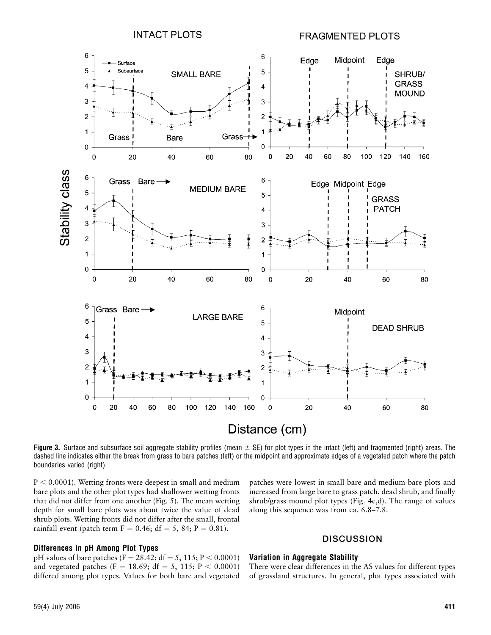

Figure 3. Surface and subsurface soil aggregate stability profiles (mean  $\pm$  SE) for plot types in the intact (left) and fragmented (right) areas. The dashed line indicates either the break from grass to bare patches (left) or the midpoint and approximate edges of a vegetated patch where the patch boundaries varied (right).

 $P < 0.0001$ ). Wetting fronts were deepest in small and medium bare plots and the other plot types had shallower wetting fronts that did not differ from one another (Fig. 5). The mean wetting depth for small bare plots was about twice the value of dead shrub plots. Wetting fronts did not differ after the small, frontal rainfall event (patch term  $F = 0.46$ ; df = 5, 84; P = 0.81).

#### Differences in pH Among Plot Types

pH values of bare patches ( $F = 28.42$ ; df = 5, 115; P < 0.0001) and vegetated patches ( $F = 18.69$ ; df = 5, 115; P < 0.0001) differed among plot types. Values for both bare and vegetated patches were lowest in small bare and medium bare plots and increased from large bare to grass patch, dead shrub, and finally shrub/grass mound plot types (Fig. 4c,d). The range of values along this sequence was from ca. 6.8–7.8.

# **DISCUSSION**

# Variation in Aggregate Stability

There were clear differences in the AS values for different types of grassland structures. In general, plot types associated with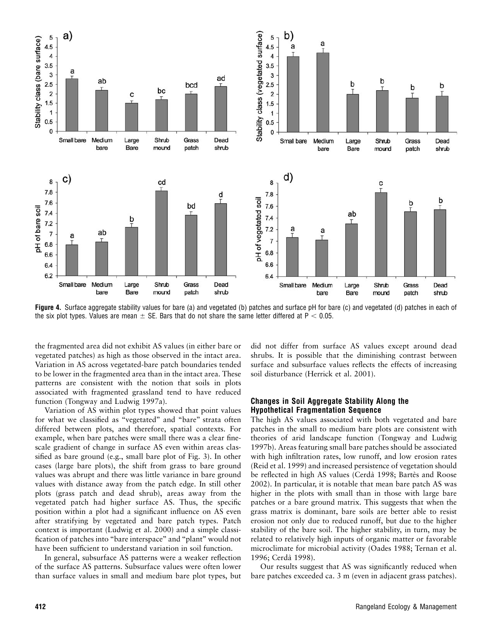

Figure 4. Surface aggregate stability values for bare (a) and vegetated (b) patches and surface pH for bare (c) and vegetated (d) patches in each of the six plot types. Values are mean  $\pm$  SE. Bars that do not share the same letter differed at P < 0.05.

the fragmented area did not exhibit AS values (in either bare or vegetated patches) as high as those observed in the intact area. Variation in AS across vegetated-bare patch boundaries tended to be lower in the fragmented area than in the intact area. These patterns are consistent with the notion that soils in plots associated with fragmented grassland tend to have reduced function (Tongway and Ludwig 1997a).

Variation of AS within plot types showed that point values for what we classified as "vegetated" and "bare" strata often differed between plots, and therefore, spatial contexts. For example, when bare patches were small there was a clear finescale gradient of change in surface AS even within areas classified as bare ground (e.g., small bare plot of Fig. 3). In other cases (large bare plots), the shift from grass to bare ground values was abrupt and there was little variance in bare ground values with distance away from the patch edge. In still other plots (grass patch and dead shrub), areas away from the vegetated patch had higher surface AS. Thus, the specific position within a plot had a significant influence on AS even after stratifying by vegetated and bare patch types. Patch context is important (Ludwig et al. 2000) and a simple classification of patches into ''bare interspace'' and ''plant'' would not have been sufficient to understand variation in soil function.

In general, subsurface AS patterns were a weaker reflection of the surface AS patterns. Subsurface values were often lower than surface values in small and medium bare plot types, but did not differ from surface AS values except around dead shrubs. It is possible that the diminishing contrast between surface and subsurface values reflects the effects of increasing soil disturbance (Herrick et al. 2001).

### Changes in Soil Aggregate Stability Along the Hypothetical Fragmentation Sequence

The high AS values associated with both vegetated and bare patches in the small to medium bare plots are consistent with theories of arid landscape function (Tongway and Ludwig 1997b). Areas featuring small bare patches should be associated with high infiltration rates, low runoff, and low erosion rates (Reid et al. 1999) and increased persistence of vegetation should be reflected in high AS values (Cerdà 1998; Bartès and Roose 2002). In particular, it is notable that mean bare patch AS was higher in the plots with small than in those with large bare patches or a bare ground matrix. This suggests that when the grass matrix is dominant, bare soils are better able to resist erosion not only due to reduced runoff, but due to the higher stability of the bare soil. The higher stability, in turn, may be related to relatively high inputs of organic matter or favorable microclimate for microbial activity (Oades 1988; Ternan et al. 1996; Cerda` 1998).

Our results suggest that AS was significantly reduced when bare patches exceeded ca. 3 m (even in adjacent grass patches).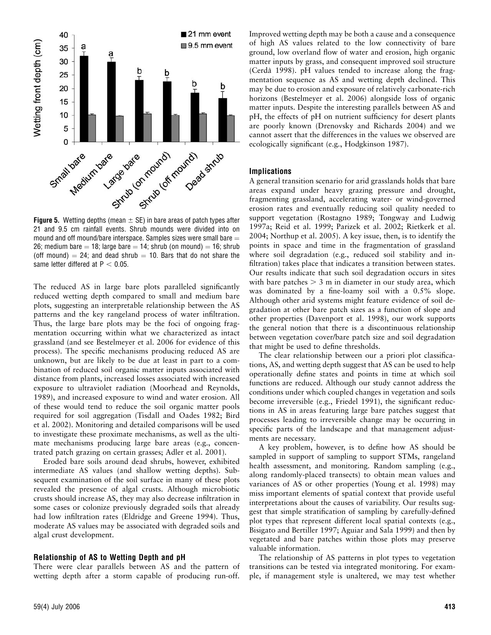

**Figure 5.** Wetting depths (mean  $\pm$  SE) in bare areas of patch types after 21 and 9.5 cm rainfall events. Shrub mounds were divided into on mound and off mound/bare interspace. Samples sizes were small bare  $=$ 26; medium bare  $= 18$ ; large bare  $= 14$ ; shrub (on mound)  $= 16$ ; shrub (off mound)  $= 24$ ; and dead shrub  $= 10$ . Bars that do not share the same letter differed at  $P < 0.05$ .

The reduced AS in large bare plots paralleled significantly reduced wetting depth compared to small and medium bare plots, suggesting an interpretable relationship between the AS patterns and the key rangeland process of water infiltration. Thus, the large bare plots may be the foci of ongoing fragmentation occurring within what we characterized as intact grassland (and see Bestelmeyer et al. 2006 for evidence of this process). The specific mechanisms producing reduced AS are unknown, but are likely to be due at least in part to a combination of reduced soil organic matter inputs associated with distance from plants, increased losses associated with increased exposure to ultraviolet radiation (Moorhead and Reynolds, 1989), and increased exposure to wind and water erosion. All of these would tend to reduce the soil organic matter pools required for soil aggregation (Tisdall and Oades 1982; Bird et al. 2002). Monitoring and detailed comparisons will be used to investigate these proximate mechanisms, as well as the ultimate mechanisms producing large bare areas (e.g., concentrated patch grazing on certain grasses; Adler et al. 2001).

Eroded bare soils around dead shrubs, however, exhibited intermediate AS values (and shallow wetting depths). Subsequent examination of the soil surface in many of these plots revealed the presence of algal crusts. Although microbiotic crusts should increase AS, they may also decrease infiltration in some cases or colonize previously degraded soils that already had low infiltration rates (Eldridge and Greene 1994). Thus, moderate AS values may be associated with degraded soils and algal crust development.

#### Relationship of AS to Wetting Depth and pH

There were clear parallels between AS and the pattern of wetting depth after a storm capable of producing run-off. Improved wetting depth may be both a cause and a consequence of high AS values related to the low connectivity of bare ground, low overland flow of water and erosion, high organic matter inputs by grass, and consequent improved soil structure (Cerda` 1998). pH values tended to increase along the fragmentation sequence as AS and wetting depth declined. This may be due to erosion and exposure of relatively carbonate-rich horizons (Bestelmeyer et al. 2006) alongside loss of organic matter inputs. Despite the interesting parallels between AS and pH, the effects of pH on nutrient sufficiency for desert plants are poorly known (Drenovsky and Richards 2004) and we cannot assert that the differences in the values we observed are ecologically significant (e.g., Hodgkinson 1987).

### Implications

A general transition scenario for arid grasslands holds that bare areas expand under heavy grazing pressure and drought, fragmenting grassland, accelerating water- or wind-governed erosion rates and eventually reducing soil quality needed to support vegetation (Rostagno 1989; Tongway and Ludwig 1997a; Reid et al. 1999; Parizek et al. 2002; Rietkerk et al. 2004; Northup et al. 2005). A key issue, then, is to identify the points in space and time in the fragmentation of grassland where soil degradation (e.g., reduced soil stability and infiltration) takes place that indicates a transition between states. Our results indicate that such soil degradation occurs in sites with bare patches  $> 3$  m in diameter in our study area, which was dominated by a fine-loamy soil with a 0.5% slope. Although other arid systems might feature evidence of soil degradation at other bare patch sizes as a function of slope and other properties (Davenport et al. 1998), our work supports the general notion that there is a discontinuous relationship between vegetation cover/bare patch size and soil degradation that might be used to define thresholds.

The clear relationship between our a priori plot classifications, AS, and wetting depth suggest that AS can be used to help operationally define states and points in time at which soil functions are reduced. Although our study cannot address the conditions under which coupled changes in vegetation and soils become irreversible (e.g., Friedel 1991), the significant reductions in AS in areas featuring large bare patches suggest that processes leading to irreversible change may be occurring in specific parts of the landscape and that management adjustments are necessary.

A key problem, however, is to define how AS should be sampled in support of sampling to support STMs, rangeland health assessment, and monitoring. Random sampling (e.g., along randomly-placed transects) to obtain mean values and variances of AS or other properties (Young et al. 1998) may miss important elements of spatial context that provide useful interpretations about the causes of variability. Our results suggest that simple stratification of sampling by carefully-defined plot types that represent different local spatial contexts (e.g., Bisigato and Bertiller 1997; Aguiar and Sala 1999) and then by vegetated and bare patches within those plots may preserve valuable information.

The relationship of AS patterns in plot types to vegetation transitions can be tested via integrated monitoring. For example, if management style is unaltered, we may test whether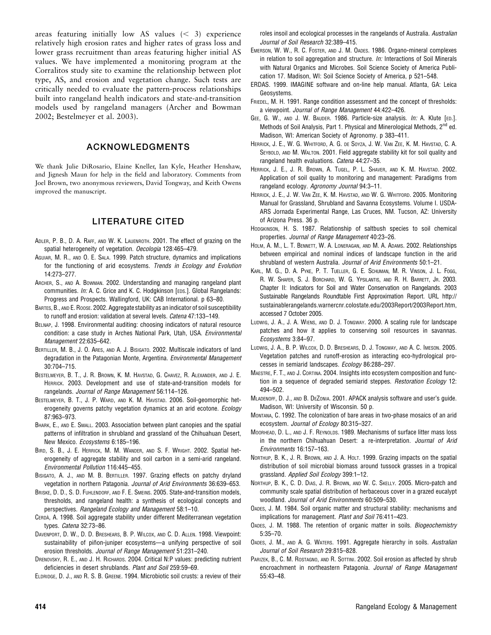areas featuring initially low AS values  $(< 3)$  experience relatively high erosion rates and higher rates of grass loss and lower grass recruitment than areas featuring higher initial AS values. We have implemented a monitoring program at the Corralitos study site to examine the relationship between plot type, AS, and erosion and vegetation change. Such tests are critically needed to evaluate the pattern-process relationships built into rangeland health indicators and state-and-transition models used by rangeland managers (Archer and Bowman 2002; Bestelmeyer et al. 2003).

# ACKNOWLEDGMENTS

We thank Julie DiRosario, Elaine Kneller, Ian Kyle, Heather Henshaw, and Jignesh Maun for help in the field and laboratory. Comments from Joel Brown, two anonymous reviewers, David Tongway, and Keith Owens improved the manuscript.

# LITERATURE CITED

- ADLER, P. B., D. A. RAFF, AND W. K. LAUENROTH. 2001. The effect of grazing on the spatial heterogeneity of vegetation. Oecologia 128:465–479.
- AGUIAR, M. R., AND O. E. SALA. 1999. Patch structure, dynamics and implications for the functioning of arid ecosystems. Trends in Ecology and Evolution 14:273–277.
- ARCHER, S., AND A. BOWMAN. 2002. Understanding and managing rangeland plant communities. In: A. C. Grice and K. C. Hodgkinson [EDS.]. Global Rangelands: Progress and Prospects. Wallingford, UK: CAB International. p 63–80.
- BARTES, B., AND E. ROOSE. 2002. Aggregate stability as an indicator of soil susceptibility to runoff and erosion: validation at several levels. Catena 47:133–149.
- BELNAP, J. 1998. Environmental auditing: choosing indicators of natural resource condition: a case study in Arches National Park, Utah, USA. Environmental Management 22:635–642.
- BERTILLER, M. B., J. O. ARES, AND A. J. BISIGATO. 2002. Multiscale indicators of land degradation in the Patagonian Monte, Argentina. Environmental Management 30:704–715.
- BESTELMEYER, B. T., J. R. BROWN, K. M. HAVSTAD, G. CHAVEZ, R. ALEXANDER, AND J. E. HERRICK. 2003. Development and use of state-and-transition models for rangelands. Journal of Range Management 56:114–126.
- BESTELMEYER, B. T., J. P. WARD, AND K. M. HAVSTAD. 2006. Soil-geomorphic heterogeneity governs patchy vegetation dynamics at an arid ecotone. Ecology 87:963–973.
- BHARK, E., AND E. SMALL. 2003. Association between plant canopies and the spatial patterns of infiltration in shrubland and grassland of the Chihuahuan Desert, New Mexico. Ecosystems 6:185–196.
- BIRD, S. B., J. E. HERRICK, M. M. WANDER, AND S. F. WRIGHT. 2002. Spatial heterogeneity of aggregate stability and soil carbon in a semi-arid rangeland. Environmental Pollution 116:445–455.
- BISIGATO, A. J., AND M. B. BERTILLER. 1997. Grazing effects on patchy dryland vegetation in northern Patagonia. Journal of Arid Environments 36:639–653.
- BRISKE, D. D., S. D. FUHLENDORF, AND F. E. SMEINS. 2005. State-and-transition models, thresholds, and rangeland health: a synthesis of ecological concepts and perspectives. Rangeland Ecology and Management 58:1–10.
- CERDA`, A. 1998. Soil aggregate stability under different Mediterranean vegetation types. Catena 32:73–86.
- DAVENPORT, D. W., D. D. BRESHEARS, B. P. WILCOX, AND C. D. ALLEN. 1998. Viewpoint: sustainability of piñon-juniper ecosystems-a unifying perspective of soil erosion thresholds. Journal of Range Management 51:231–240.
- DRENOVSKY, R. E., AND J. H. RICHARDS. 2004. Critical N:P values: predicting nutrient deficiencies in desert shrublands. Plant and Soil 259:59–69.

ELDRIDGE, D. J., AND R. S. B. GREENE. 1994. Microbiotic soil crusts: a review of their

roles insoil and ecological processes in the rangelands of Australia. Australian Journal of Soil Research 32:389–415.

- EMERSON, W. W., R. C. FOSTER, AND J. M. OADES. 1986. Organo-mineral complexes in relation to soil aggregation and structure. In: Interactions of Soil Minerals with Natural Organics and Microbes. Soil Science Society of America Publication 17. Madison, WI: Soil Science Society of America, p 521–548.
- ERDAS. 1999. IMAGINE software and on-line help manual. Atlanta, GA: Leica Geosystems.
- FRIEDEL, M. H. 1991. Range condition assessment and the concept of thresholds: a viewpoint. Journal of Range Management 44:422–426.
- GEE, G. W., AND J. W. BAUDER. 1986. Particle-size analysis. In: A. Klute [ED.]. Methods of Soil Analysis, Part 1. Physical and Minerological Methods, 2<sup>nd</sup> ed. Madison, WI: American Society of Agronomy. p 383–411.
- HERRICK, J. E., W. G. WHITFORD, A. G. DE SOYZA, J. W. VAN ZEE, K. M. HAVSTAD, C. A. SEYBOLD, AND M. WALTON. 2001. Field aggregate stability kit for soil quality and rangeland health evaluations. Catena 44:27–35.
- HERRICK, J. E., J. R. BROWN, A. TUGEL, P. L. SHAVER, AND K. M. HAVSTAD. 2002. Application of soil quality to monitoring and management: Paradigms from rangeland ecology. Agronomy Journal 94:3–11.
- HERRICK, J. E., J. W. VAN ZEE, K. M. HAVSTAD, AND W. G. WHITFORD. 2005. Monitoring Manual for Grassland, Shrubland and Savanna Ecosystems. Volume I. USDA-ARS Jornada Experimental Range, Las Cruces, NM. Tucson, AZ: University of Arizona Press. 36 p.
- HODGKINSON, H. S. 1987. Relationship of saltbush species to soil chemical properties. Journal of Range Management 40:23–26.
- HOLM, A. M., L. T. BENNETT, W. A. LONERAGAN, AND M. A. ADAMS. 2002. Relationships between empirical and nominal indices of landscape function in the arid shrubland of western Australia. Journal of Arid Environments 50:1-21.
- KARL, M. G., D. A. PYKE, P. T. TUELLER, G. E. SCHUMAN, M. R. VINSON, J. L. FOGG, R. W. SHAFER, S. J. BORCHARD, W. G. YPSILANTIS, AND R. H. BARRETT, JR. 2003. Chapter II: Indicators for Soil and Water Conservation on Rangelands. 2003 Sustainable Rangelands Roundtable First Approximation Report. URL http:// sustainablerangelands.warnercnr.colostate.edu/2003Report/2003Report.htm, accessed 7 October 2005.
- LUDWIG, J. A., J. A. WIENS, AND D. J. TONGWAY. 2000. A scaling rule for landscape patches and how it applies to conserving soil resources in savannas. Ecosystems 3:84–97.
- LUDWIG, J. A., B. P. WILCOX, D. D. BRESHEARS, D. J. TONGWAY, AND A. C. IMESON. 2005. Vegetation patches and runoff-erosion as interacting eco-hydrological processes in semiarid landscapes. Ecology 86:288–297.
- MAESTRE, F. T., AND J. CORTINA. 2004. Insights into ecosystem composition and function in a sequence of degraded semiarid steppes. Restoration Ecology 12: 494–502.
- MLADENOFF, D. J., AND B. DEZONIA. 2001. APACK analysis software and user's guide. Madison, WI: University of Wisconsin. 50 p.
- MONTANA, C. 1992. The colonization of bare areas in two-phase mosaics of an arid ecosystem. Journal of Ecology 80:315–327.
- MOORHEAD, D. L., AND J. F. REYNOLDS. 1989. Mechanisms of surface litter mass loss in the northern Chihuahuan Desert: a re-interpretation. Journal of Arid Environments 16:157–163.
- NORTHUP, B. K., J. R. BROWN, AND J. A. HOLT. 1999. Grazing impacts on the spatial distribution of soil microbial biomass around tussock grasses in a tropical grassland. Applied Soil Ecology 399:1–12.
- NORTHUP, B. K., C. D. DIAS, J. R. BROWN, AND W. C. SKELLY. 2005. Micro-patch and community scale spatial distribution of herbaceous cover in a grazed eucalypt woodland. Journal of Arid Environments 60:509–530.
- OADES, J. M. 1984. Soil organic matter and structural stability: mechanisms and implications for management. Plant and Soil 76:411-423.
- OADES, J. M. 1988. The retention of organic matter in soils. Biogeochemistry 5:35–70.
- OADES, J. M., AND A. G. WATERS. 1991. Aggregate hierarchy in soils. Australian Journal of Soil Research 29:815–828.
- PARIZEK, B., C. M. ROSTAGNO, AND R. SOTTINI. 2002. Soil erosion as affected by shrub encroachment in northeastern Patagonia. Journal of Range Management 55:43–48.